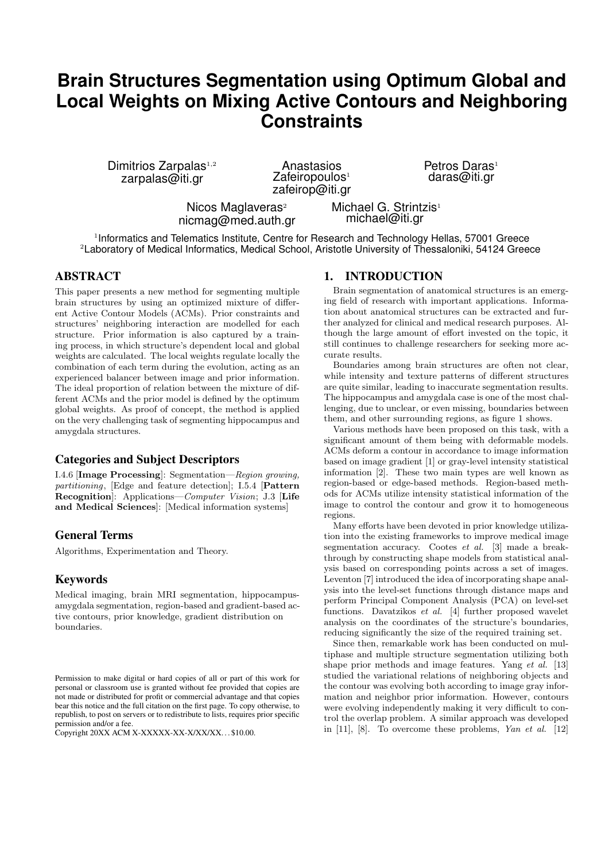# **Brain Structures Segmentation using Optimum Global and Local Weights on Mixing Active Contours and Neighboring Constraints**

Dimitrios Zarpalas<sup>1,2</sup> zarpalas@iti.gr

Anastasios  $Z$ afeiropoulos<sup>1</sup> zafeirop@iti.gr Petros Daras<sup>1</sup> daras@iti.gr

Nicos Maglaveras<sup>2</sup> nicmag@med.auth.gr Michael G. Strintzis<sup>1</sup> michael@iti.gr

<sup>1</sup>Informatics and Telematics Institute, Centre for Research and Technology Hellas, 57001 Greece <sup>2</sup>Laboratory of Medical Informatics, Medical School, Aristotle University of Thessaloniki, 54124 Greece

# ABSTRACT

This paper presents a new method for segmenting multiple brain structures by using an optimized mixture of different Active Contour Models (ACMs). Prior constraints and structures' neighboring interaction are modelled for each structure. Prior information is also captured by a training process, in which structure's dependent local and global weights are calculated. The local weights regulate locally the combination of each term during the evolution, acting as an experienced balancer between image and prior information. The ideal proportion of relation between the mixture of different ACMs and the prior model is defined by the optimum global weights. As proof of concept, the method is applied on the very challenging task of segmenting hippocampus and amygdala structures.

## Categories and Subject Descriptors

I.4.6 [Image Processing]: Segmentation—Region growing, partitioning, [Edge and feature detection]; I.5.4 [Pattern Recognition]: Applications—Computer Vision; J.3 [Life and Medical Sciences]: [Medical information systems]

# General Terms

Algorithms, Experimentation and Theory.

## Keywords

Medical imaging, brain MRI segmentation, hippocampusamygdala segmentation, region-based and gradient-based active contours, prior knowledge, gradient distribution on boundaries.

## 1. INTRODUCTION

Brain segmentation of anatomical structures is an emerging field of research with important applications. Information about anatomical structures can be extracted and further analyzed for clinical and medical research purposes. Although the large amount of effort invested on the topic, it still continues to challenge researchers for seeking more accurate results.

Boundaries among brain structures are often not clear, while intensity and texture patterns of different structures are quite similar, leading to inaccurate segmentation results. The hippocampus and amygdala case is one of the most challenging, due to unclear, or even missing, boundaries between them, and other surrounding regions, as figure 1 shows.

Various methods have been proposed on this task, with a significant amount of them being with deformable models. ACMs deform a contour in accordance to image information based on image gradient [1] or gray-level intensity statistical information [2]. These two main types are well known as region-based or edge-based methods. Region-based methods for ACMs utilize intensity statistical information of the image to control the contour and grow it to homogeneous regions.

Many efforts have been devoted in prior knowledge utilization into the existing frameworks to improve medical image segmentation accuracy. Cootes et al. [3] made a breakthrough by constructing shape models from statistical analysis based on corresponding points across a set of images. Leventon [7] introduced the idea of incorporating shape analysis into the level-set functions through distance maps and perform Principal Component Analysis (PCA) on level-set functions. Davatzikos et al. [4] further proposed wavelet analysis on the coordinates of the structure's boundaries, reducing significantly the size of the required training set.

Since then, remarkable work has been conducted on multiphase and multiple structure segmentation utilizing both shape prior methods and image features. Yang et al. [13] studied the variational relations of neighboring objects and the contour was evolving both according to image gray information and neighbor prior information. However, contours were evolving independently making it very difficult to control the overlap problem. A similar approach was developed in  $[11]$ ,  $[8]$ . To overcome these problems, Yan et al.  $[12]$ 

Permission to make digital or hard copies of all or part of this work for personal or classroom use is granted without fee provided that copies are not made or distributed for profit or commercial advantage and that copies bear this notice and the full citation on the first page. To copy otherwise, to republish, to post on servers or to redistribute to lists, requires prior specific permission and/or a fee.

Copyright 20XX ACM X-XXXXX-XX-X/XX/XX. . . \$10.00.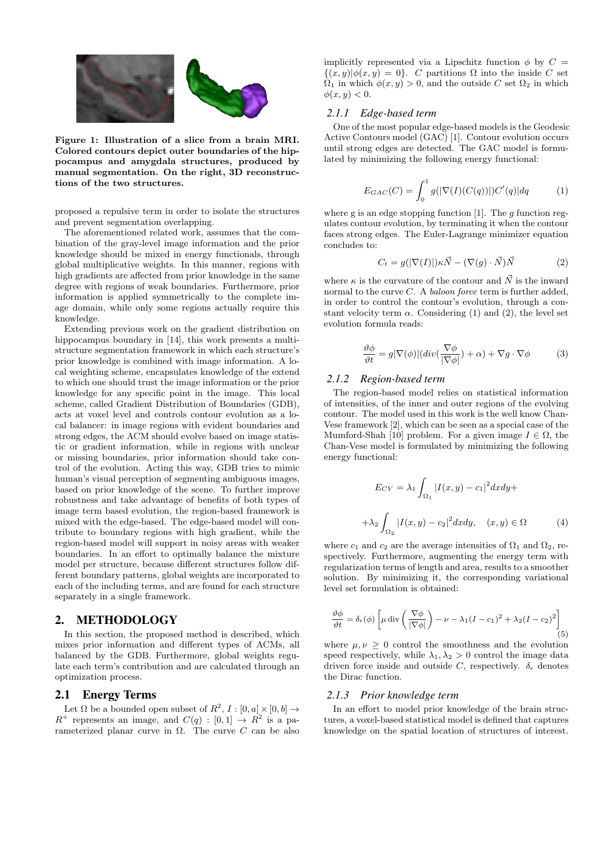

Figure 1: Illustration of a slice from a brain MRI. Colored contours depict outer boundaries of the hippocampus and amygdala structures, produced by manual segmentation. On the right, 3D reconstructions of the two structures.

proposed a repulsive term in order to isolate the structures and prevent segmentation overlapping.

The aforementioned related work, assumes that the combination of the gray-level image information and the prior knowledge should be mixed in energy functionals, through global multiplicative weights. In this manner, regions with high gradients are affected from prior knowledge in the same degree with regions of weak boundaries. Furthermore, prior information is applied symmetrically to the complete image domain, while only some regions actually require this knowledge.

Extending previous work on the gradient distribution on hippocampus boundary in [14], this work presents a multistructure segmentation framework in which each structure's prior knowledge is combined with image information. A local weighting scheme, encapsulates knowledge of the extend to which one should trust the image information or the prior knowledge for any specific point in the image. This local scheme, called Gradient Distribution of Boundaries (GDB), acts at voxel level and controls contour evolution as a local balancer: in image regions with evident boundaries and strong edges, the ACM should evolve based on image statistic or gradient information, while in regions with unclear or missing boundaries, prior information should take control of the evolution. Acting this way, GDB tries to mimic human's visual perception of segmenting ambiguous images, based on prior knowledge of the scene. To further improve robustness and take advantage of benefits of both types of image term based evolution, the region-based framework is mixed with the edge-based. The edge-based model will contribute to boundary regions with high gradient, while the region-based model will support in noisy areas with weaker boundaries. In an effort to optimally balance the mixture model per structure, because different structures follow different boundary patterns, global weights are incorporated to each of the including terms, and are found for each structure separately in a single framework.

## 2. METHODOLOGY

In this section, the proposed method is described, which mixes prior information and different types of ACMs, all balanced by the GDB. Furthermore, global weights regulate each term's contribution and are calculated through an optimization process.

# 2.1 Energy Terms

Let  $\Omega$  be a bounded open subset of  $R^2$ ,  $I : [0, a] \times [0, b] \rightarrow$  $R^+$  represents an image, and  $C(q) : [0,1] \rightarrow R^2$  is a parameterized planar curve in Ω. The curve C can be also implicitly represented via a Lipschitz function  $\phi$  by  $C =$  $\{(x, y) | \phi(x, y) = 0\}.$  C partitions  $\Omega$  into the inside C set  $\Omega_1$  in which  $\phi(x, y) > 0$ , and the outside C set  $\Omega_2$  in which  $\phi(x, y) < 0.$ 

#### *2.1.1 Edge-based term*

One of the most popular edge-based models is the Geodesic Active Contours model (GAC) [1]. Contour evolution occurs until strong edges are detected. The GAC model is formulated by minimizing the following energy functional:

$$
E_{GAC}(C) = \int_0^1 g(|\nabla(I)(C(q))|)C'(q)|dq
$$
 (1)

where g is an edge stopping function  $[1]$ . The g function regulates contour evolution, by terminating it when the contour faces strong edges. The Euler-Lagrange minimizer equation concludes to:

$$
C_t = g(|\nabla(I)|)\kappa \vec{N} - (\nabla(g) \cdot \vec{N})\vec{N}
$$
 (2)

where  $\kappa$  is the curvature of the contour and  $\vec{N}$  is the inward normal to the curve  $C$ . A *baloon force* term is further added, in order to control the contour's evolution, through a constant velocity term  $\alpha$ . Considering (1) and (2), the level set evolution formula reads:

$$
\frac{\partial \phi}{\partial t} = g|\nabla(\phi)|(div(\frac{\nabla \phi}{|\nabla \phi|}) + \alpha) + \nabla g \cdot \nabla \phi \tag{3}
$$

# *2.1.2 Region-based term*

The region-based model relies on statistical information of intensities, of the inner and outer regions of the evolving contour. The model used in this work is the well know Chan-Vese framework [2], which can be seen as a special case of the Mumford-Shah [10] problem. For a given image  $I \in \Omega$ , the Chan-Vese model is formulated by minimizing the following energy functional:

$$
E_{CV} = \lambda_1 \int_{\Omega_1} |I(x, y) - c_1|^2 dx dy +
$$

$$
+ \lambda_2 \int_{\Omega_2} |I(x, y) - c_2|^2 dx dy, \quad (x, y) \in \Omega \tag{4}
$$

where  $c_1$  and  $c_2$  are the average intensities of  $\Omega_1$  and  $\Omega_2$ , respectively. Furthermore, augmenting the energy term with regularization terms of length and area, results to a smoother solution. By minimizing it, the corresponding variational level set formulation is obtained:

$$
\frac{\partial \phi}{\partial t} = \delta_{\epsilon}(\phi) \left[ \mu \operatorname{div} \left( \frac{\nabla \phi}{|\nabla \phi|} \right) - \nu - \lambda_1 (I - c_1)^2 + \lambda_2 (I - c_2)^2 \right] \tag{5}
$$

where  $\mu, \nu > 0$  control the smoothness and the evolution speed respectively, while  $\lambda_1, \lambda_2 > 0$  control the image data driven force inside and outside C, respectively.  $\delta_{\epsilon}$  denotes the Dirac function.

#### *2.1.3 Prior knowledge term*

In an effort to model prior knowledge of the brain structures, a voxel-based statistical model is defined that captures knowledge on the spatial location of structures of interest.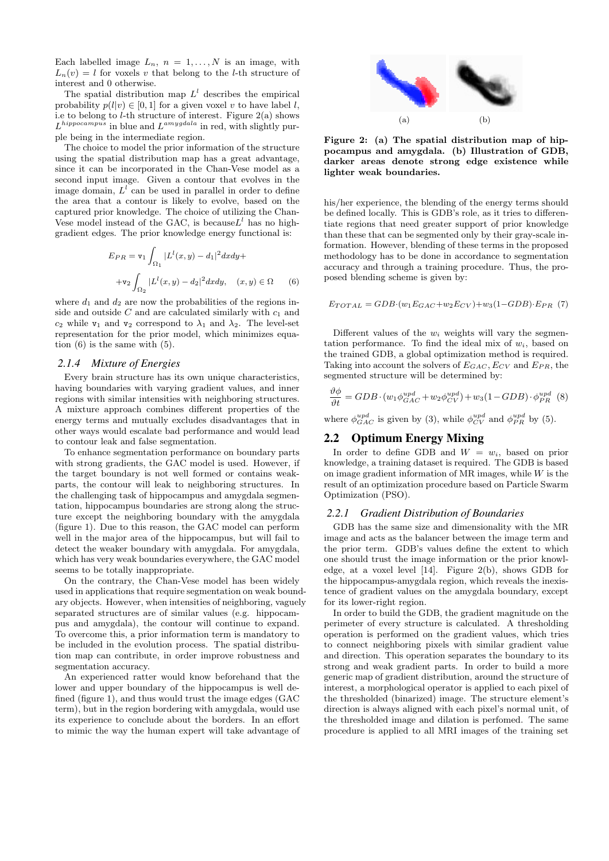Each labelled image  $L_n$ ,  $n = 1, ..., N$  is an image, with  $L_n(v) = l$  for voxels v that belong to the *l*-th structure of interest and 0 otherwise.

The spatial distribution map  $L^l$  describes the empirical probability  $p(l|v) \in [0, 1]$  for a given voxel v to have label l, i.e to belong to  $l$ -th structure of interest. Figure  $2(a)$  shows  $L^{hippocampus}$  in blue and  $L^{amygdala}$  in red, with slightly purple being in the intermediate region.

The choice to model the prior information of the structure using the spatial distribution map has a great advantage, since it can be incorporated in the Chan-Vese model as a second input image. Given a contour that evolves in the image domain,  $L^l$  can be used in parallel in order to define the area that a contour is likely to evolve, based on the captured prior knowledge. The choice of utilizing the Chan-Vese model instead of the GAC, is because  $L^l$  has no highgradient edges. The prior knowledge energy functional is:

$$
E_{PR} = \mathbf{v}_1 \int_{\Omega_1} |L^l(x, y) - d_1|^2 dx dy +
$$
  
+
$$
\mathbf{v}_2 \int_{\Omega_2} |L^l(x, y) - d_2|^2 dx dy, \quad (x, y) \in \Omega \qquad (6)
$$

where  $d_1$  and  $d_2$  are now the probabilities of the regions inside and outside  $C$  and are calculated similarly with  $c_1$  and  $c_2$  while  $v_1$  and  $v_2$  correspond to  $\lambda_1$  and  $\lambda_2$ . The level-set representation for the prior model, which minimizes equation (6) is the same with (5).

### *2.1.4 Mixture of Energies*

Every brain structure has its own unique characteristics, having boundaries with varying gradient values, and inner regions with similar intensities with neighboring structures. A mixture approach combines different properties of the energy terms and mutually excludes disadvantages that in other ways would escalate bad performance and would lead to contour leak and false segmentation.

To enhance segmentation performance on boundary parts with strong gradients, the GAC model is used. However, if the target boundary is not well formed or contains weakparts, the contour will leak to neighboring structures. In the challenging task of hippocampus and amygdala segmentation, hippocampus boundaries are strong along the structure except the neighboring boundary with the amygdala (figure 1). Due to this reason, the GAC model can perform well in the major area of the hippocampus, but will fail to detect the weaker boundary with amygdala. For amygdala, which has very weak boundaries everywhere, the GAC model seems to be totally inappropriate.

On the contrary, the Chan-Vese model has been widely used in applications that require segmentation on weak boundary objects. However, when intensities of neighboring, vaguely separated structures are of similar values (e.g. hippocampus and amygdala), the contour will continue to expand. To overcome this, a prior information term is mandatory to be included in the evolution process. The spatial distribution map can contribute, in order improve robustness and segmentation accuracy.

An experienced ratter would know beforehand that the lower and upper boundary of the hippocampus is well defined (figure 1), and thus would trust the image edges (GAC term), but in the region bordering with amygdala, would use its experience to conclude about the borders. In an effort to mimic the way the human expert will take advantage of



Figure 2: (a) The spatial distribution map of hippocampus and amygdala. (b) Illustration of GDB, darker areas denote strong edge existence while lighter weak boundaries.

his/her experience, the blending of the energy terms should be defined locally. This is GDB's role, as it tries to differentiate regions that need greater support of prior knowledge than these that can be segmented only by their gray-scale information. However, blending of these terms in the proposed methodology has to be done in accordance to segmentation accuracy and through a training procedure. Thus, the proposed blending scheme is given by:

$$
E_{TOTAL} = GDB \cdot (w_1 E_{GAC} + w_2 E_{CV}) + w_3 (1 - GDB) \cdot E_{PR} (7)
$$

Different values of the  $w_i$  weights will vary the segmentation performance. To find the ideal mix of  $w_i$ , based on the trained GDB, a global optimization method is required. Taking into account the solvers of  $E_{GAC}$ ,  $E_{CV}$  and  $E_{PR}$ , the segmented structure will be determined by:

$$
\frac{\partial \phi}{\partial t} = GDB \cdot (w_1 \phi_{GAC}^{upd} + w_2 \phi_{CV}^{upd}) + w_3 (1 - GDB) \cdot \phi_{PR}^{upd} \quad (8)
$$

where  $\phi_{GAC}^{upd}$  is given by (3), while  $\phi_{CV}^{upd}$  and  $\phi_{PR}^{upd}$  by (5).

## 2.2 Optimum Energy Mixing

In order to define GDB and  $W = w_i$ , based on prior knowledge, a training dataset is required. The GDB is based on image gradient information of MR images, while  $W$  is the result of an optimization procedure based on Particle Swarm Optimization (PSO).

#### *2.2.1 Gradient Distribution of Boundaries*

GDB has the same size and dimensionality with the MR image and acts as the balancer between the image term and the prior term. GDB's values define the extent to which one should trust the image information or the prior knowledge, at a voxel level [14]. Figure 2(b), shows GDB for the hippocampus-amygdala region, which reveals the inexistence of gradient values on the amygdala boundary, except for its lower-right region.

In order to build the GDB, the gradient magnitude on the perimeter of every structure is calculated. A thresholding operation is performed on the gradient values, which tries to connect neighboring pixels with similar gradient value and direction. This operation separates the boundary to its strong and weak gradient parts. In order to build a more generic map of gradient distribution, around the structure of interest, a morphological operator is applied to each pixel of the thresholded (binarized) image. The structure element's direction is always aligned with each pixel's normal unit, of the thresholded image and dilation is perfomed. The same procedure is applied to all MRI images of the training set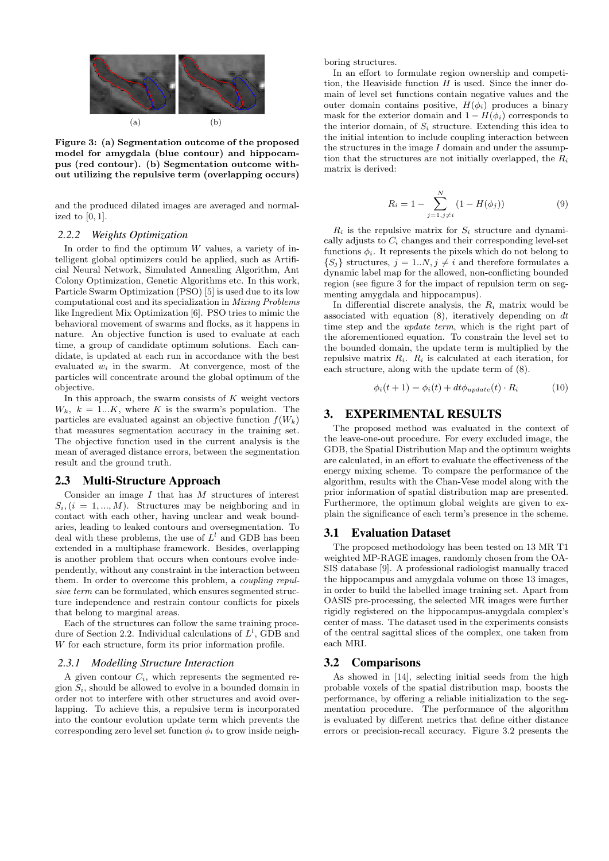

Figure 3: (a) Segmentation outcome of the proposed model for amygdala (blue contour) and hippocampus (red contour). (b) Segmentation outcome without utilizing the repulsive term (overlapping occurs)

and the produced dilated images are averaged and normalized to  $[0, 1]$ .

### *2.2.2 Weights Optimization*

In order to find the optimum  $W$  values, a variety of intelligent global optimizers could be applied, such as Artificial Neural Network, Simulated Annealing Algorithm, Ant Colony Optimization, Genetic Algorithms etc. In this work, Particle Swarm Optimization (PSO) [5] is used due to its low computational cost and its specialization in Mixing Problems like Ingredient Mix Optimization [6]. PSO tries to mimic the behavioral movement of swarms and flocks, as it happens in nature. An objective function is used to evaluate at each time, a group of candidate optimum solutions. Each candidate, is updated at each run in accordance with the best evaluated  $w_i$  in the swarm. At convergence, most of the particles will concentrate around the global optimum of the objective.

In this approach, the swarm consists of  $K$  weight vectors  $W_k$ ,  $k = 1...K$ , where K is the swarm's population. The particles are evaluated against an objective function  $f(W_k)$ that measures segmentation accuracy in the training set. The objective function used in the current analysis is the mean of averaged distance errors, between the segmentation result and the ground truth.

#### 2.3 Multi-Structure Approach

Consider an image  $I$  that has  $M$  structures of interest  $S_i$ ,  $(i = 1, ..., M)$ . Structures may be neighboring and in contact with each other, having unclear and weak boundaries, leading to leaked contours and oversegmentation. To deal with these problems, the use of  $L^l$  and GDB has been extended in a multiphase framework. Besides, overlapping is another problem that occurs when contours evolve independently, without any constraint in the interaction between them. In order to overcome this problem, a coupling repulsive term can be formulated, which ensures segmented structure independence and restrain contour conflicts for pixels that belong to marginal areas.

Each of the structures can follow the same training procedure of Section 2.2. Individual calculations of  $L^l$ , GDB and W for each structure, form its prior information profile.

### *2.3.1 Modelling Structure Interaction*

A given contour  $C_i$ , which represents the segmented region  $S_i$ , should be allowed to evolve in a bounded domain in order not to interfere with other structures and avoid overlapping. To achieve this, a repulsive term is incorporated into the contour evolution update term which prevents the corresponding zero level set function  $\phi_i$  to grow inside neighboring structures.

In an effort to formulate region ownership and competition, the Heaviside function  $H$  is used. Since the inner domain of level set functions contain negative values and the outer domain contains positive,  $H(\phi_i)$  produces a binary mask for the exterior domain and  $1 - H(\phi_i)$  corresponds to the interior domain, of  $S_i$  structure. Extending this idea to the initial intention to include coupling interaction between the structures in the image  $I$  domain and under the assumption that the structures are not initially overlapped, the  $R_i$ matrix is derived:

$$
R_i = 1 - \sum_{j=1, j \neq i}^{N} (1 - H(\phi_j))
$$
 (9)

 $R_i$  is the repulsive matrix for  $S_i$  structure and dynamically adjusts to  $C_i$  changes and their corresponding level-set functions  $\phi_i$ . It represents the pixels which do not belong to  $\{S_j\}$  structures,  $j = 1..N, j \neq i$  and therefore formulates a dynamic label map for the allowed, non-conflicting bounded region (see figure 3 for the impact of repulsion term on segmenting amygdala and hippocampus).

In differential discrete analysis, the  $R_i$  matrix would be associated with equation  $(8)$ , iteratively depending on dt time step and the *update term*, which is the right part of the aforementioned equation. To constrain the level set to the bounded domain, the update term is multiplied by the repulsive matrix  $R_i$ .  $R_i$  is calculated at each iteration, for each structure, along with the update term of (8).

$$
\phi_i(t+1) = \phi_i(t) + dt \phi_{update}(t) \cdot R_i \tag{10}
$$

# 3. EXPERIMENTAL RESULTS

The proposed method was evaluated in the context of the leave-one-out procedure. For every excluded image, the GDB, the Spatial Distribution Map and the optimum weights are calculated, in an effort to evaluate the effectiveness of the energy mixing scheme. To compare the performance of the algorithm, results with the Chan-Vese model along with the prior information of spatial distribution map are presented. Furthermore, the optimum global weights are given to explain the significance of each term's presence in the scheme.

## 3.1 Evaluation Dataset

The proposed methodology has been tested on 13 MR T1 weighted MP-RAGE images, randomly chosen from the OA-SIS database [9]. A professional radiologist manually traced the hippocampus and amygdala volume on those 13 images, in order to build the labelled image training set. Apart from OASIS pre-processing, the selected MR images were further rigidly registered on the hippocampus-amygdala complex's center of mass. The dataset used in the experiments consists of the central sagittal slices of the complex, one taken from each MRI.

## 3.2 Comparisons

As showed in [14], selecting initial seeds from the high probable voxels of the spatial distribution map, boosts the performance, by offering a reliable initialization to the segmentation procedure. The performance of the algorithm is evaluated by different metrics that define either distance errors or precision-recall accuracy. Figure 3.2 presents the